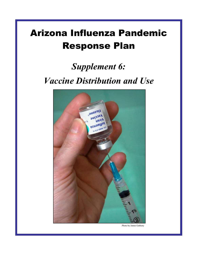# Arizona Influenza Pandemic Response Plan

## *Supplement 6:*

## *Vaccine Distribution and Use*



Photo by James Gatheny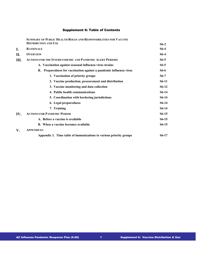## Supplement 6: Table of Contents

|     | <b>SUMMARY OF PUBLIC HEALTH ROLES AND RESPONSIBILITIES FOR VACCINE</b><br><b>DISTRIBUTION AND USE</b> | $S6-2$             |
|-----|-------------------------------------------------------------------------------------------------------|--------------------|
| I.  | <b>RATIONALE</b>                                                                                      | $S6-4$             |
| II. | <b>OVERVIEW</b>                                                                                       | $S6-4$             |
| Ш.  | <b>ACTIONS FOR THE INTERPANDEMIC AND PANDEMIC ALERT PERIODS</b>                                       | $S6-5$             |
|     | A. Vaccination against seasonal influenza virus strains                                               | $S6-5$             |
|     | Preparedness for vaccination against a pandemic influenza virus<br>В.                                 | S6-6               |
|     | 1. Vaccination of priority groups                                                                     | $S6-7$             |
|     | 2. Vaccine production, procurement and distribution                                                   | S <sub>6</sub> -11 |
|     | 3. Vaccine monitoring and data collection                                                             | $S6-12$            |
|     | 4. Public health communications                                                                       | S <sub>6</sub> -14 |
|     | 5. Coordination with bordering jurisdictions                                                          | S <sub>6</sub> -14 |
|     | 6. Legal preparedness                                                                                 | S <sub>6</sub> -14 |
|     | 7. Training                                                                                           | S <sub>6</sub> -14 |
| IV. | <b>ACTIONS FOR PANDEMIC PERIOD</b>                                                                    | $S6-15$            |
|     | A. Before a vaccine is available                                                                      | $S6-15$            |
|     | <b>B.</b> When a vaccine becomes available                                                            | $S6-15$            |
| V.  | <b>APPENDICES</b>                                                                                     |                    |
|     | Appendix 1. Time table of immunizations to various priority groups                                    | S <sub>6</sub> -17 |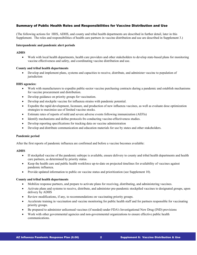## Summary of Public Health Roles and Responsibilities for Vaccine Distribution and Use

(The following actions for HHS, ADHS, and county and tribal health departments are described in further detail, later in this Supplement. The roles and responsibilities of health care partners in vaccine distribution and use are described in Supplement 3.)

## **Interpandemic and pandemic alert periods**

## **ADHS**

• Work with local health departments, health care providers and other stakeholders to develop state-based plans for monitoring vaccine effectiveness and safety, and coordinating vaccine distribution and use.

## **County and tribal health departments**

• Develop and implement plans, systems and capacities to receive, distribute, and administer vaccine to population of jurisdiction

## **HHS agencies:**

- Work with manufacturers to expedite public-sector vaccine purchasing contracts during a pandemic and establish mechanisms for vaccine procurement and distribution.
- Develop guidance on priority groups for vaccination.
- Develop and stockpile vaccine for influenza strains with pandemic potential.
- Expedite the rapid development, licensure, and production of new influenza vaccines, as well as evaluate dose optimization strategies to maximize use of limited vaccine stocks.
- Estimate rates of reports of mild and severe adverse events following immunization (AEFIs)
- Identify mechanisms and define protocols fro conducting vaccine-effectiveness studies.
- Develop reporting specifications for tracking data on vaccine administration
- Develop and distribute communication and education materials for use by states and other stakeholders.

## **Pandemic period**

After the first reports of pandemic influenza are confirmed and before a vaccine becomes available:

## **ADHS**

- If stockpiled vaccine of the pandemic subtype is available, ensure delivery to county and tribal health departments and health care partners, as determined by priority status.
- Keep the health care and public health workforce up-to-date on projected timelines for availability of vaccines against pandemic influenza.
- Provide updated information to public on vaccine status and prioritization (see Supplement 10).

## **County and tribal health departments**

- Mobilize response partners, and prepare to activate plans for receiving, distributing, and administering vaccines.
- Activate plans and systems to receive, distribute, and administer pre-pandemic stockpiled vaccines to designated groups, upon delivery by ADHS
- Review modifications, if any, to recommendations on vaccinating priority groups.
- Accelerate training in vaccination and vaccine monitoring for public health staff and for partners responsible for vaccinating priority groups.
- Be prepared to administer unlicensed vaccines (if needed) under FDA's Investigational New Drug (IND) provisions
- Work with other governmental agencies and non-governmental organizations to ensure effective public health communications.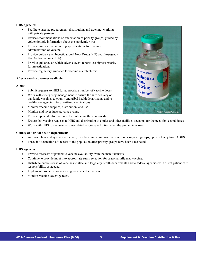## **HHS agencies:**

- Facilitate vaccine procurement, distribution, and tracking, working with private partners.
- Revise recommendations on vaccination of priority groups, guided by epidemiologic information about the pandemic virus
- Provide guidance on reporting specifications for tracking administration of vaccine
- Provide guidance on Investigational New Drug (IND) and Emergency Use Authorization (EUA)
- Provide guidance on which adverse event reports are highest priority for investigation.
- Provide regulatory guidance to vaccine manufacturers

## **After a vaccine becomes available**:

## **ADHS**

- Submit requests to HHS for appropriate number of vaccine doses
- Work with emergency management to ensure the safe delivery of pandemic vaccines to county and tribal health departments and to health care agencies, for prioritized vaccinations
- Monitor vaccine supplies, distribution, and use.
- Monitor and investigate adverse events.
- Provide updated information to the public via the news media.
- Ensure that vaccine requests to HHS and distribution to clinics and other facilities accounts for the need for second doses
- Work with HHS to evaluate vaccine-related response activities when the pandemic is over.

## **County and tribal health departments**

- Activate plans and systems to receive, distribute and administer vaccines to designated groups, upon delivery from ADHS.
- Phase in vaccination of the rest of the population after priority groups have been vaccinated.

## **HHS agencies:**

- Provide forecasts of pandemic vaccine availability from the manufacturers
- Continue to provide input into appropriate strain selection for seasonal influenza vaccine.
- Distribute public stocks of vaccines to state and large city health departments and to federal agencies with direct patient care responsibility, as needed.
- Implement protocols for assessing vaccine effectiveness.
- Monitor vaccine coverage rates.

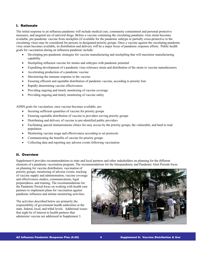## I. Rationale

The initial response to an influenza pandemic will include medical care, community containment and personal protective measures, and targeted use of antiviral drugs. Before a vaccine containing the circulating pandemic virus strain becomes available, pre-pandemic vaccine from stockpiles (if available for the pandemic subtype or partially cross-protective to the circulating virus) may be considered for persons in designated priority groups. Once a vaccine against the circulating pandemic virus strain becomes available, its distribution and delivery will be a major focus of pandemic response efforts. Public health goals for vaccination during an influenza pandemic include:

- Developing pre-pandemic strategies for vaccine manufacturing and stockpiling that will maximize manufacturing capability
- Stockpiling influenza vaccine for strains and subtypes with pandemic potential
- Expediting development of a pandemic virus reference strain and distribution of the strain to vaccine manufacturers
- Accelerating production of a pandemic vaccine
- Maximizing the immune response to the vaccine
- Ensuring efficient and equitable distribution of pandemic vaccine, according to priority lists
- Rapidly determining vaccine effectiveness
- Providing ongoing and timely monitoring of vaccine coverage
- Providing ongoing and timely monitoring of vaccine safety

ADHS goals for vaccination, once vaccine becomes available, are:

- Securing sufficient quantities of vaccine for priority groups
- Ensuring equitable distribution of vaccine to providers serving priority groups
- Distributing and delivery of vaccine to pre-identified public providers
- Facilitating special immunizations clinics for easy access by the priority groups, the vulnerable, and hard to read population
- Monitoring vaccine usage and effectiveness according to set protocols
- Communicating the benefits of vaccine for priority groups
- Collecting data and reporting any adverse events following vaccination

## II. Overview

Supplement 6 provides recommendations to state and local partners and other stakeholders on planning for the different elements of a pandemic vaccination program. The recommendations for the Interpandemic and Pandemic Alert Periods focus

on planning for vaccine distribution, vaccination of priority groups, monitoring of adverse events, tracking of vaccine supply and administration, vaccine coverage and effectiveness studies, communications, legal preparedness, and training. The recommendations for the Pandemic Period focus on working with health care partners to implement plans for vaccination against pandemic influenza and initiate monitoring activities.

The activities described below are primarily the responsibility of government health authorities at the state, federal, local, and tribal levels. Additional issues that night be of interest to health partners that administer vaccine are addressed in Supplement 3.

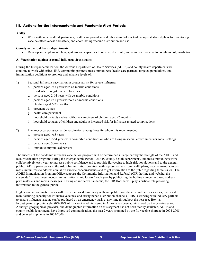## III. Actions for the Interpandemic and Pandemic Alert Periods

## **ADHS**

• Work with local health departments, health care providers and other stakeholders to develop state-based plans for monitoring vaccine effectiveness and safety, and coordinating vaccine distribution and use.

## **County and tribal health departments**

• Develop and implement plans, systems and capacities to receive, distribute, and adminster vaccine to population of jurisdiction

## **A. Vaccination against seasonal influenza virus strains**

During the Interpandemic Period, the Arizona Department of Health Services (ADHS) and county health departments will continue to work with tribes, IHS, community partners, mass immunizers, health care partners, targeted populations, and immunization coalitions to promote and enhance levels of:

- 1) Seasonal influenza vaccination in groups at risk for severe influenza
	- a. persons aged  $\geq 65$  years with co-morbid conditions
	- b. residents of long-term care facilities
	- c. persons aged 2-64 years with co-morbid conditions
	- d. persons aged  $\geq 65$  years without co-morbid conditions
	- e. children aged 6-23 months
	- f. pregnant women
	- g. health care personnel
	- h. household contacts and out-of-home caregivers of children aged <6 months
	- i. household contacts of children and adults at increased risk for influenza-related complications
- 2) Pneumococcal polysaccharide vaccination among those for whom it is recommended:
	- a. persons aged  $\geq 65$  years
	- b. persons aged 2-64 years with co-morbid conditions or who are living in special environments or social settings
	- c. persons aged 50-64 years
	- d. immunocompromised persons

The success of the pandemic influenza vaccination program will be determined in large part by the strength of the ADHS and local vaccination programs during the Interpandemic Period. ADHS, county health departments, and mass immunizers work collaboratively each year, to increase public confidence and to provide flu vaccine to high-risk populations and to the general public. ADHS participates in the Adult Immunization coalition with representatives from health plans, vaccine manufacturers, mass immunizers to address annual flu vaccine concerns/issues and to get information to the pubic regarding these issues. The ADHS Immunization Program Office supports the Community Information and Referral (CIR) hotline and website, the statewide "flu and pneumococal immunization clinic locator" each year by publicizing the hotline number and web address in print materials and media messages. During an influenza pandemic, the CIR Hotline will play a critical role providing information to the general public.

Higher annual vaccination rates will foster increased familiarity with and public confidence in influenza vaccines, increased manufacturing capacity for influenza vaccines, and strengthened distribution channels. HHS is working with industry partners to ensure influenza vaccine can be produced on an emergency basis at any time throughout the year (see Box 1). In past years, approximately 80%-90% of flu vaccine administered in Arizona has been administered by the private sector. Although geographical, provider, and demographic information on this segment has not been readily available, ADHS and county health departments have improved communications the past 2 years prompted by the flu vaccine shortage in 2004-2005, and delayed shipments in 2005-2006.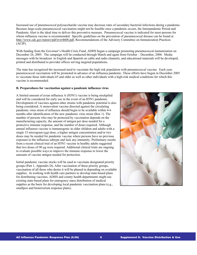Increased use of pneumococcal polysaccharide vaccine may decrease rates of secondary bacterial infections during a pandemic. Because large-scale pneumococcal vaccination might not be feasible once a pandemic occurs, the Interpandemic Period and Pandemic Alert is the ideal time to deliver this preventive measure. Pneumococcal vaccine is indicated for most persons for whom influenza vaccine is recommended. Specific guidelines on the prevention of pneumococcal disease can be found at <http://www.cdc.gov/mmwr/pdf/rr/rr4608.pdf>, Recommendations of the Advisory Committee on Immunization Practices (ACIP).

With funding from the Governor's Health Crisis Fund, ADHS began a campaign promoting pneumococcal immunization on December 26, 2005. The campaign will be conducted through March and again from October – December, 2006. Media messages with be broadcast in English and Spanish on cable and radio channels, and educational materials will be developed, printed and distributed to provider offices serving targeted populations.

The state has recognized the increased need to vaccinate the high risk population with pneumococcal vaccine. Each year, pneumococcal vaccination will be promoted in advance of an influenza pandemic. These efforts have begun in December 2005 to vaccinate those individuals 65 and older as well as other individuals with a high-risk medical conditions for which this vaccine is recommended.

## **B. Preparedness for vaccination against a pandemic influenza virus**

A limited amount of avian influenza A (H5N1) vaccine is being stockpiled and will be considered for early use in the event of an H5N1 pandemic. Development of vaccines against other strains with pandemic potential is also being considered. A monovalent vaccine directed against the circulating pandemic virus strain of influenza should begin to be available within 4-6 months after identification of the new pandemic virus strain (Box 1). The number of persons who may be protected by vaccination depends on the manufacturing capacity, the amount of antigen per dose needed for a protective immune response, and the number of doses required. Although annual influenza vaccine is immunogenic in older children and adults with a single 15 microgram (µg) dose, a higher antigen concentration and/or two doses may be needed for pandemic vaccine where persons have no previous exposure to the influenza subtype and lack any immunity. Preliminary results from a recent clinical trial of an H5N1 vaccine in healthy adults suggested that two doses of 90 µg were required. Additional clinical trials are ongoing to evaluate possible ways to improve the immune response to lower the amounts of vaccine antigen needed for protection.

smallpox and bioterrorism response plans). Initial pandemic vaccine stocks will be used to vaccinate designated priority groups (Part 1, Appendix D). After vaccination of these priority groups, vaccination of all those who desire it will be phased in depending on available supplies. In working with health care partners to develop state-based plans for distributing vaccines, ADHS and county health departments might use existing state-based plans for emergency mass distribution of medical supplies as the basis for developing local pandemic vaccination plans (e.g.,

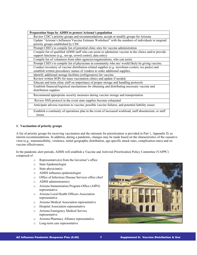| Preparation Steps by ADHS to protect Arizona's population                                                           |
|---------------------------------------------------------------------------------------------------------------------|
| Review CDC's priority groups and recommendations; accept or modify groups for Arizona                               |
| Update "Arizona's Influenza Vaccine Estimate Worksheet" with the numbers of individuals in targeted                 |
| priority groups established by CDC                                                                                  |
| Prompt CHD's to compile list of potential clinic sites for vaccine administration                                   |
| Compile list of qualified ADHS staff who can assist or administer vaccine in the clinics and/or provide             |
| support functions (e.g., set-up, crowd control, data entry)                                                         |
| Compile list of volunteers from other agencies/organizations, who can assist.                                       |
| Prompt CHD's to compile list of physicians in community who are/ would likely be giving vaccine.                    |
| Conduct inventory of vaccine distribution related supplies (e.g. styrofoam coolers, ice packs) and                  |
| establish written procedures/ names of vendors to order additional supplies.                                        |
| Identify additional storage facilities (refrigerators) for vaccine.                                                 |
| Review written SOPs for mass vaccination clinics and update if needed.                                              |
| Educate and train clinic staff on importance of proper storage and handling protocols                               |
| Establish financial/logistical mechanisms for obtaining and distributing necessary vaccine and                      |
| distribution supplies                                                                                               |
| Recommend appropriate security measures during vaccine storage and transportation                                   |
| Review SNS protocol in the event state supplies become exhausted                                                    |
| Anticipate adverse reactions to vaccine, possible vaccine failures, and potential liability issues                  |
| Establish a continuity of operations plan in the event of increased workload, staff absenteeism, or staff<br>losses |

## **1. Vaccination of priority groups**

A list of priority groups for receiving vaccination and the rationale for prioritization is provided in Part 1, Appendix D, as interim recommendations. In addition, during a pandemic, changes may be made based on the characteristics of the causative virus (e.g., transmissibility, virulence, initial geographic distribution, age-specific attack rates, complication rates) and on vaccine effectiveness.

In the pandemic alert periods, ADHS will establish a Vaccine and Antiviral Prioritization Policy Committee (VAPPC) composed of

- o Representative(s) from the Governor's office
- o State Epidemiologist
- o State physician(s)
- o ADHS influenza epidemiologist
- o Office of Infectious Disease Services office chief
- o ADHS administrator(s)
- o Arizona Immunization Program Office (AIPO) representative
- o Arizona Local Health Officers Association representative
- o Arizona Medical Association representative
- o Hospital Association representative
- o Arizona Emergency Medical Service representative
- o Arizona Pharmacy Alliance representative
- o Long-term care representative

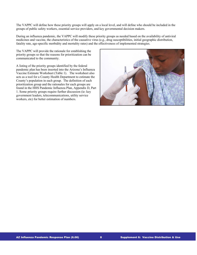The VAPPC will define how these priority groups will apply on a local level, and will define who should be included in the groups of public safety workers, essential service providers, and key governmental decision makers.

During an influenza pandemic, the VAPPC will modify these priority groups as needed based on the availability of antiviral medicines and vaccine, the characteristics of the causative virus (e.g., drug susceptibilities, initial geographic distribution, fatality rate, age-specific morbidity and mortality rates) and the effectiveness of implemented strategies.

The VAPPC will provide the rationale for establishing the priority groups so that the reasons for prioritization can be communicated to the community.

A listing of the priority groups identified by the federal pandemic plan has been inserted into the Arizona's Influenza Vaccine Estimate Worksheet (Table 1). The worksheet also acts as a tool for a County Health Department to estimate the County's population in each group. The definition of each prioritization group and the rationales for each groups are found in the HHS Pandemic Influenza Plan, Appendix D, Part 1. Some priority groups require further discussion (ie: key government leaders, telecommunications, utility service workers, etc) for better estimation of numbers.

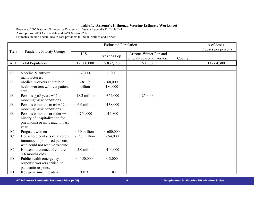## **Table 1. Arizona's Influenza Vaccine Estimate Worksheet**

Resource: 2005 National Strategy for Pandemic Influenza Appendix D: Table D-1 Assumptions: 2004 Census data and AZ/US ratio ~2% Estimates include Federal health care providers to Indian Nations and Tribes

|                | Pandemic Priority Groups                                                                                 |                     | <b>Estimated Population</b> |                                                    | $#$ of doses<br>(2 doses per person) |            |
|----------------|----------------------------------------------------------------------------------------------------------|---------------------|-----------------------------|----------------------------------------------------|--------------------------------------|------------|
| Tiers          |                                                                                                          | U.S.                | Arizona Pop.                | Arizona Winter Pop and<br>migrant seasonal workers | County                               |            |
| ALL            | <b>Total Population</b>                                                                                  | 312,000,000         | 5,832,150                   | 600,000                                            |                                      | 11,664,300 |
|                |                                                                                                          |                     |                             |                                                    |                                      |            |
| 1A             | Vaccine & antiviral<br>manufacturers                                                                     | $\sim 40,000$       | $\sim 800$                  |                                                    |                                      |            |
| 1A             | Medical workers and public                                                                               | $\sim 8 - 9$        | $~160,000-$                 |                                                    |                                      |            |
|                | health workers w/direct patient<br>care                                                                  | million             | 180,000                     |                                                    |                                      |            |
| 1B             | Persons $\geq 65$ years w/ 1 or<br>more high-risk conditions                                             | $\sim$ 18.2 million | ~1000                       | 250,000                                            |                                      |            |
| 1B             | Persons 6 months to 64 $w/2$ or<br>more high-risk conditions                                             | $\sim 6.9$ million  | ~138,000                    |                                                    |                                      |            |
| 1B             | Persons 6 months or older w/<br>history of hospitalization for<br>pneumonia or influenza in past<br>year | $\sim$ 740,000      | ~14,800                     |                                                    |                                      |            |
| 1 <sup>C</sup> | Pregnant women                                                                                           | $\sim$ 30 million   | $\sim 600,000$              |                                                    |                                      |            |
| 1 <sup>C</sup> | Household contacts of severely<br>immunocompromised persons                                              | $\sim 2.7$ million  | $\sim 54,000$               |                                                    |                                      |            |
| 1 <sup>C</sup> | who could not receive vaccine<br>Household contact of children                                           | $\sim$ 5.0 million  |                             |                                                    |                                      |            |
|                | $< 6$ months olds                                                                                        |                     | ~100,000                    |                                                    |                                      |            |
| 1D             | Public health emergency                                                                                  | $\sim 150,000$      | $\sim 3,000$                |                                                    |                                      |            |
|                | response workers critical to                                                                             |                     |                             |                                                    |                                      |            |
|                | pandemic response                                                                                        |                     |                             |                                                    |                                      |            |
| 1 <sub>D</sub> | Key government leaders                                                                                   | <b>TBD</b>          | <b>TBD</b>                  |                                                    |                                      |            |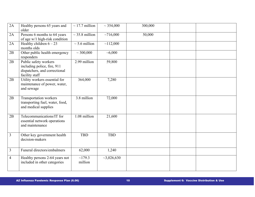| 2A             | Healthy persons 65 years and<br>older                                                                   | $\sim$ 17.7 million            | $\sim$ 354,000   | 300,000 |  |
|----------------|---------------------------------------------------------------------------------------------------------|--------------------------------|------------------|---------|--|
| 2A             | Persons 6 months to 64 years<br>of age w/1 high-risk condition                                          | $\sim$ 35.8 million            | ~16,000          | 50,000  |  |
| 2A             | Healthy children $6 - 23$<br>months olds                                                                | $\sim$ 5.6 million             | ~112,000         |         |  |
| 2B             | Other public health emergency<br>responders                                                             | $\sim$ 300,000                 | ~1000            |         |  |
| 2B             | Public safety workers<br>including police, fire, 911<br>dispatchers, and correctional<br>facility staff | 2.99 million                   | 59,800           |         |  |
| 2B             | Utility workers essential for<br>maintenance of power, water,<br>and sewage                             | 364,000                        | 7,280            |         |  |
| 2B             | Transportation workers<br>transporting fuel, water, food,<br>and medical supplies                       | 3.8 million                    | 72,000           |         |  |
| 2B             | Telecommunications/IT for<br>essential network operations<br>and maintenance                            | 1.08 million                   | 21,600           |         |  |
| $\overline{3}$ | Other key government health<br>decision-makers                                                          | <b>TBD</b>                     | <b>TBD</b>       |         |  |
| $\mathfrak{Z}$ | Funeral directors/embalmers                                                                             | 62,000                         | 1,240            |         |  |
| 4              | Healthy persons 2-64 years not<br>included in other categories                                          | $\overline{~179.3}$<br>million | $\sim$ 3,026,630 |         |  |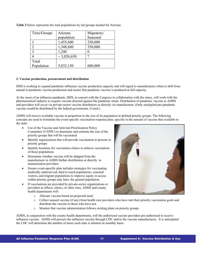| Tiers/Groups | Arizona          | Migratory/ |  |
|--------------|------------------|------------|--|
|              | population       | Seasonal   |  |
|              | 1,455,600        | 250,000    |  |
| 2            | 1,348,680        | 350,000    |  |
| 3            | 1,240            |            |  |
|              | $\sim$ 3,026,630 |            |  |
| Total        |                  |            |  |
| Population   | 5,832,150        | 600,000    |  |

**Table 2** below represents the total populations by tier/groups needed for Arizona:

## **2. Vaccine production, procurement and distribution**

HHS is working to expand pandemic influenza vaccine production capacity and will signal to manufacturers when to shift from annual to pandemic vaccine production and assure that pandemic vaccine is produced at full capacity.

At the onset of an influenza pandemic, HHS, in concert with the Congress in collaboration with the states, will work with the pharmaceutical industry to acquire vaccine directed against the pandemic strain. Distribution of pandemic vaccine to ADHS and providers will occur via private-sector vaccine distributors or directly via manufacturer. (Only stockpiled pre-pandemic vaccine would be distributed by the federal government, if used.)

ADHS will receive available vaccine in proportion to the size of its population in defined priority groups. The following concepts are used to formulate the event-specific vaccination response plan, specific to the amount of vaccine that available to the state:

- Use of the Vaccine and Antiviral Prioritization Policy Committee (VAPPC) to determine and estimate the size of the priority groups that will be vaccinated
- Identify organizations that will provide vaccination to persons in priority groups
- Identify locations for vaccination clinics to achieve vaccination of those populations
- Determine whether vaccine will be shipped from the manufacturer to ADHS further distribution or directly to immunization providers
- Ensure event-specific plan includes strategies for vaccinating medically underserved, hard to reach populations, seasonal visitors, and migrant populations to improve equity in access within priority groups and, later, the general population.
- If vaccinations are provided by private-sector organizations or providers at offices, clinics, or other sites, ADHS and county health departments will:
	- o Allocate vaccine based on projected need.
	- o Collect unused vaccine (if any) from health care providers who have met their priority vaccination goals and distribute the vaccine to those who have not.
	- o Monitor that vaccine administration follows existing plans on priority groups.

ADHS, in conjunction with the county health departments, will the authorized vaccine providers pre-authorized to receive influenza vaccine. ADHS will procure the influenza vaccine through CDC and/or the vaccine manufacturers. It is anticipated the CDC will determine the number of doses each state is allotted on monthly basis.

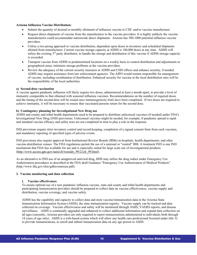## **Arizona Influenza Vaccine Distribution:**

- Submit the quantity of desired or monthly allotment of influenza vaccine to CDC and/or vaccine manufacturer
- Request direct shipments of vaccine from the manufacturer to the vaccine providers. It is highly unlikely the vaccine manufacturers could accommodate nationwide direct shipments. Arizona has 500-1000 potential influenza vaccine providers.
- Utilize a two-prong approach to vaccine distribution, dependent upon doses in inventory and scheduled shipments allotted from manufacturer. Current vaccine storage capacity at ADHS is 100,000 doses at any time. ADHS will utilize the existing 3<sup>rd</sup> party distributor, to handle the storage and distribution of this vaccine if ADHS storage capacity is exceeded.
- Transport vaccine from ADHS to predetermined locations on a weekly basis to control distribution and adjustments to geographical areas, minimize storage problems at the vaccine providers.
- Review the adequacy of the current security measures at ADHS and CHD offices and enhance security, if needed. ADHS may request assistance from law enforcement agencies. The AIPO would remain responsible for management of vaccine, including coordination of distribution. Enhanced security for vaccine at the local distribution sites will be the responsibility of the local authorities.

## **a) Second-dose vaccination**

A vaccine against pandemic influenza will likely require two doses, administered at least a month apart, to provide a level of immunity comparable to that obtained with seasonal influenza vaccines. Recommendations on the number of required doses and the timing of the second dose will be issued once immunogenicity trials have been completed. If two doses are required to achieve immunity, it will be necessary to ensure that vaccinated persons return for the second dose.

## **b) Contingency planning for Investigational New Drug use**

ADHS and county and tribal health departments need to be prepared to distribute unlicensed vaccines (if needed) under FDA's Investigational New Drug (IND) provisions. Unlicensed vaccines might be needed, for example, if pandemic spread is rapid and standard vaccine efficacy and safety tests are not completed in time to play a role in the response.

IND provisions require strict inventory control and record-keeping, completion of a signed consent form from each vaccinee, and mandatory reporting of specified types of adverse events.

IND provisions also require approval from Institutional Review Boards (IRBs) in hospitals, health departments, and other vaccine-distribution venues. The FDA regulations permit the use of a national or "central" IRB. A treatment IND is one IND mechanism that FDA has available for use and is especially suited for large scale use of investigational products ([http://www.access.gpo.gov/nara/cfr/waisidx\\_99/21cfr\\_99.html\)](http://www.access.gpo.gov/nara/cfr/waisidx_99/21cfr_99.html).

As an alternative to IND use of an unapproved antiviral drug, HHS may utilize the drug roduct under Emergency Use Authorization procedures as described in the FDA draft Guidance "Emergency Use Authorization of Medical Products" (http://www.fda.gov/cber/gdlns/emeruse.pdf).

## **3. Vaccine monitoring and data collection**

## **i. Vaccine effectiveness**

To ensure optimal use of a new pandemic influenza vaccine, state and county and tribal health departments and participating immunization providers should be prepared to collect data on vaccine effectiveness, vaccine supply and distribution, vaccine coverage, and vaccine safety.

ADHS has the capability and capacity to collect data and store vaccine/immunization data in the Arizona State Immunization Information System (ASIIS), the state immunization registry. Vaccine supply can be tracked and data collected on coverage. Vaccine effectiveness and safety will be monitored through ASIIS, VAERS reports, and disease surveillance. ASIIS is continually upgraded and enhanced to collect additional information and expand data collection on all ages (currently, Arizona providers are only required to report immunizations administered to individuals birth through 18 years of age only). ASIIS is a web-based system which will allow any health care professional licensed under title 32 to provide immunizations, to enroll and submit immunization data on any age person to ASIIS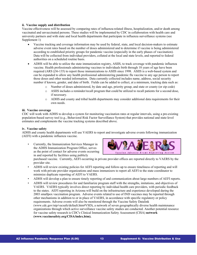## **ii. Vaccine supply and distribution**

Vaccine effectiveness will be assessed by comparing rates of influenza-related illness, hospitalization, and/or death among vaccinated and unvaccinated persons. These studies will be implemented by CDC in collaboration with health care and university partners and with state and local health departments that participate in influenza surveillance systems (see Supplement 1)

- Vaccine tracking and coverage information may be used by federal, state, and local decision-makers to estimate adverse event rates based on the number of doses administered and to determine if vaccine is being administered according to established priority groups for pandemic vaccine (especially in the early phases of vaccination). Data will be collected from individual providers, collated at the local and state levels, and reported to federal authorities on a scheduled routine basis.
- ADHS will be able to utilize the state immunization registry, ASIIS, to track coverage with pandemic influenza vaccine. Health professionals administering vaccines to individuals birth through 18 years of age have been required (ARS §36-135) to report those immunizations to ASIIS since 1998. ASIIS is a web-based system and can be expanded to allow any health professional administering pandemic flu vaccine to any age person to report those doses and other needed information. Data currently collected includes name, address, social security number if known, gender, and date of birth. Fields can be added to collect, at a minimum, tracking data such as:
	- o Number of doses administered, by date and age, priority group, and state or county (or zip code)
	- o ASIIS includes a reminder/recall program that could be utilized to recall patients for a second dose, if necessary.
	- o ADHS and county and tribal health departments may consider additional data requirements for their own needs.

## **iii. Vaccine coverage**

CDC will work with ADHS to develop a system for monitoring vaccination rates at regular intervals, using a pre-existing population-based survey tool (e.g., Behavioral Risk Factor Surveillance System) that provides national and state-level estimates and complements the vaccine tracking systems described above.

## **iv. Vaccine safety**

ADHS and county health departments will use VAERS to report and investigate adverse events following immunization (AEFI) with a pandemic influenza vaccine.

• Currently, the Immunization Services Manager in the ADHS Immunization Program Office, serves as the point of contact for adverse events occurring in and reported by facilities using publicly



purchased vaccine. Currently, AEFI occurring in private provider offices are reported directly to VAERS by the provider site.

- ADHS will review existing policies for AEFI reporting and follow-up to ensure timeliness of reporting and will work with private provider organizations and mass immunizers to report all AEFI to the state coordinator to minimize duplicate reporting of AEFI to VAERS.
- ADHS will develop a plan to ensure timely reporting of and communication about large numbers of AEFI reports.
- ADHS will review procedures for and familiarize program staff with the strengths, imitations, and objectives of VAERS. VAERS typically involves direct reporting by individual health care providers, with periodic feedback to the states. AEFI reporting in Arizona will build on the infrastructure and experience developed during the 2003 smallpox vaccination program. Adverse events related to use of IND vaccines may be reported through other mechanisms in addition to or in place of VAERS, in accordance with specific regulatory or policy requirements. Adverse events will also be monitored through the Vaccine Safety Datalink (www.cdc.gov/nip/vacsafe/default.htm#VSD), a network of seven geographically diverse health maintenance organizations through which active surveillance vaccine safety studies are conducted. Another potential resource for vaccine safety research is CDC's Clinical Immunization Safety Assessment (CISA) **network (www.vaccinesafety.org/CISA/index.htm).**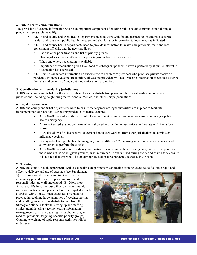## **4. Public health communications**

The provision of vaccine information will be an important component of ongoing public health communication during a pandemic (see Supplement 10).

- ADHS and county and tribal health departments need to work with federal partners to disseminate accurate, useful, and consistent public health messages and should tailor information to local needs as indicated.
- ADHS and county health departments need to provide information to health care providers, state and local government officials, and the news media on:
	- o Rationale for prioritization and list of priority groups
	- o Phasing of vaccination, if any, after priority groups have been vaccinated
	- o When and where vaccination is available
	- o Importance of vaccination given likelihood of subsequent pandemic waves, particularly if public interest in vaccination has decreased
- ADHS will disseminate information on vaccine use to health care providers who purchase private stocks of pandemic influenza vaccine. In addition, all vaccine providers will need vaccine information sheets that describe the risks and benefits of, and contraindications to, vaccination.

## **5. Coordination with bordering jurisdictions**

ADHS and county and tribal health departments will vaccine distribution plans with health authorities in bordering jurisdictions, including neighboring states, Sonora, Mexico, and other unique populations.

## **6. Legal preparedness**

ADHS and county and tribal departments need to ensure that appropriate legal authorities are in place to facilitate implementation of plans for distributing pandemic influenza vaccines.

- ARS 36-787 provides authority to ADHS to coordinate a mass immunization campaign during a public health emergency
- Arizona Revised Statues delineate who is allowed to provide immunizations in the state of Arizona (see below).
- ARS also allows for licensed volunteers or health care workers from other jurisdictions to administer influenza vaccines.
- During a declared public health emergency under ARS 36-787, licensing requirements can be suspended to allow others to perform these tasks
- ARS 36-788 provides for mandatory vaccination during a public health emergency, with an exception for those who refuse on religious grounds, who in turn can be quarantined during the period of risk for exposure. It is not felt that this would be an appropriate action for a pandemic response in Arizona.

## **7. Training**

ADHS and county health departments will assist health care partners in conducting training exercises to facilitate rapid and

effective delivery and use of vaccines (see Supplement 3). Exercises and drills are essential to ensure that emergency procedures are in place and roles and responsibilities are well understood. By 2006, most Arizona CHDs have exercised their own county-wide mass vaccination clinic plans, or have participated in such exercises with ADHS. Such exercises have included practice in receiving large quantities of vaccine; storing and handling vaccine from distributor and from the Strategic National Stockpile; setting up and staffing clinics; administering vaccine; testing information management systems; educating the public, media, and medical providers; targeting specific priority groups). Ongoing exercising of rapid response activities will be undertaken.

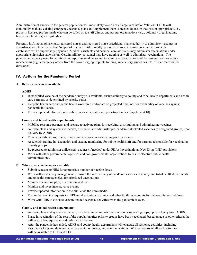Administration of vaccine to the general population will most likely take place at large vaccination "clinics". CHDs will continually evaluate existing emergency response plans and supplement them as needed to ensure that lists of appropriate sites, properly licensed professionals who can be called on to staff clinics, and partner organizations (e.g., voluntary organizations, health care facilities) are up-to date.

Presently in Arizona, physicians, registered nurses and registered nurse practitioners have authority to administer vaccines in accordance with their respective "scopes of practice." Additionally, physician's assistants may do so under protocols established with a supervisory physician. Medical assistants and personal care assistants may administer vaccinations under appropriate physician supervision. Certain military personnel may have training as well to administer vaccinations. The potential emergency need for additional non-professional personnel to administer vaccinations will be assessed and necessary mechanisms (e.g., emergency orders from the Governor), appropriate training, supervisory guidelines, etc. of such staff will be developed.

## IV. Actions for the Pandemic Period

## **A. Before a vaccine is available**

## **ADHS**

- If stockpiled vaccine of the pandemic subtype is available, ensure delivery to county and tribal health departments and health care partners, as determined by priority status.
- Keep the health care and public health workforce up-to-date on projected timelines for availability of vaccines against pandemic influenza.
- Provide updated information to public on vaccine status and prioritization (see Supplement 10).

## **County and tribal health departments**

- Mobilize response partners, and prepare to activate plans for receiving, distributing, and administering vaccines.
- Activate plans and systems to receive, distribute, and administer pre-pandemic stockpiled vaccines to designated groups, upon delivery by ADHS
- Review modifications, if any, to recommendations on vaccinating priority groups.
- Accelerate training in vaccination and vaccine monitoring for public health staff and for partners responsible for vaccinating priority groups.
- Be prepared to administer unlicensed vaccines (if needed) under FDA's Investigational New Drug (IND) provisions
- Work with other governmental agencies and non-governmental organizations to ensure effective public health communications.

## **B. When a vaccine becomes available**

- Submit requests to HHS for appropriate number of vaccine doses
- Work with emergency management to ensure the safe delivery of pandemic vaccines to county and tribal health departments and to health care agencies, for prioritized vaccinations
- Monitor vaccine supplies, distribution, and use.
- Monitor and investigate adverse events.
- Provide updated information to the public via the news media.
- Ensure that vaccine requests to HHS and distribution to clinics and other facilities accounts for the need for second doses
- Work with HHS to evaluate vaccine-related response activities when the pandemic is over.

## **County and tribal health departments**

- Activate plans and systems to receive, distribute and administer vaccines to designated groups, upon delivery from ADHS.
- Phase in vaccination of the rest of the population after priority groups have been vaccinated, based on age or other criteria that will ensure fair, equitable, and orderly distribution
- After the pandemic has ended, ADHS and county health departments will evaluate all response activities, including vaccine tracking and delivery, adverse event monitoring, and communications. Written reports of all such activities will be available to HHS and CDC.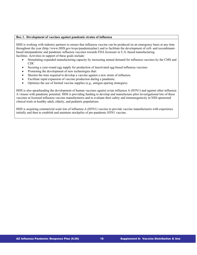## **Box 1. Development of vaccines against pandemic strains of influenza**

HHS is working with industry partners to ensure that influenza vaccine can be produced on an emergency basis at any time throughout the year (http://www.HHS.gov/nvpo/pandemicplan/) and to facilitate the development of cell- and recombinantbased interpandemic and pandemic influenza vaccines towards FDA licensure in U.S.-based manufacturing facilities. Activities in support of these goals include:

- Stimulating expanded manufacturing capacity by increasing annual demand for influenza vaccines by the CMS and CDC
- Securing a year-round egg supply for production of inactivated egg-based influenza vaccines
- Promoting the development of new technologies that:
- Shorten the time required to develop a vaccine against a new strain of influenza.
- Facilitate rapid expansion of vaccine production during a pandemic.
- Optimize the use of limited vaccine supplies (e.g., antigen-sparing strategies).

HHS is also spearheading the development of human vaccines against avian influenza A (H5N1) and against other influenza A viruses with pandemic potential. HHS is providing funding to develop and manufacture pilot investigational lots of these vaccines at licensed influenza vaccine manufacturers and to evaluate their safety and immunogenicity in NIH-sponsored clinical trials in healthy adult, elderly, and pediatric populations.

HHS is acquiring commercial scale lots of influenza A (H5N1) vaccine to provide vaccine manufacturers with experience initially and then to establish and maintain stockpiles of pre-pandemic H5N1 vaccine.